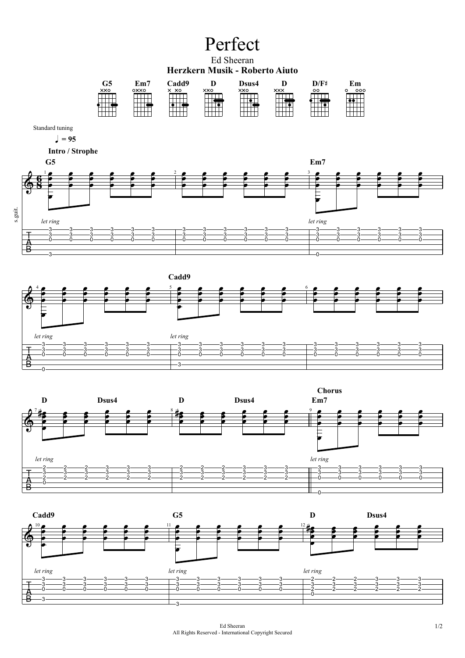## Perfect

Ed Sheeran **Herzkern Musik - Roberto Aiuto**



Standard tuning

 $= 95$ 



 **Intro / Strophe**





Ed Sheeran 1/2 All Rights Reserved - International Copyright Secured